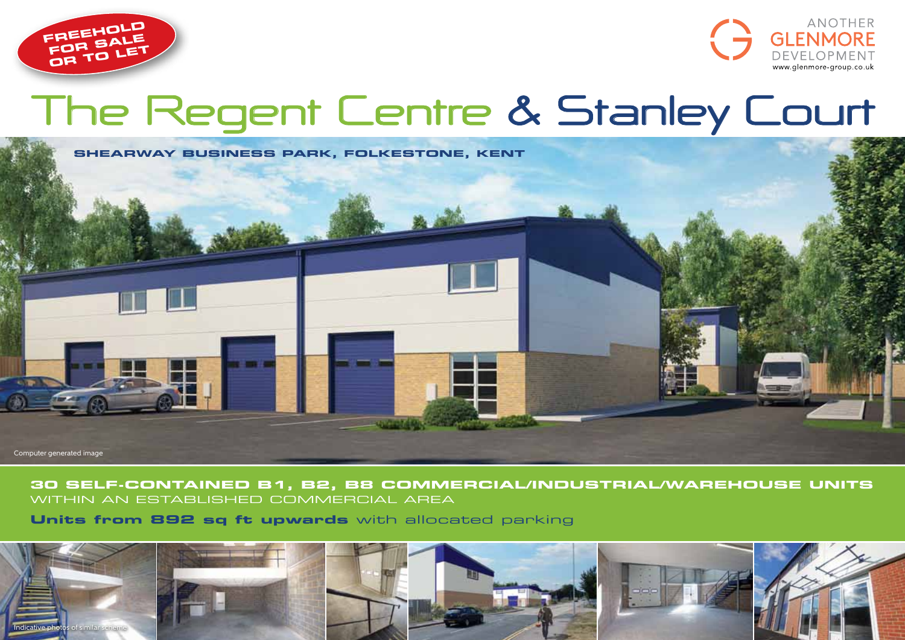



# **The Regent Centre & Stanley Court**



## **30 self-contained B1, b2, B8 commercial/industrial/warehouse units** within aN ESTABLISHED COMMERCIAL AREA

**Units from 892 sq ft upwards** with allocated parking